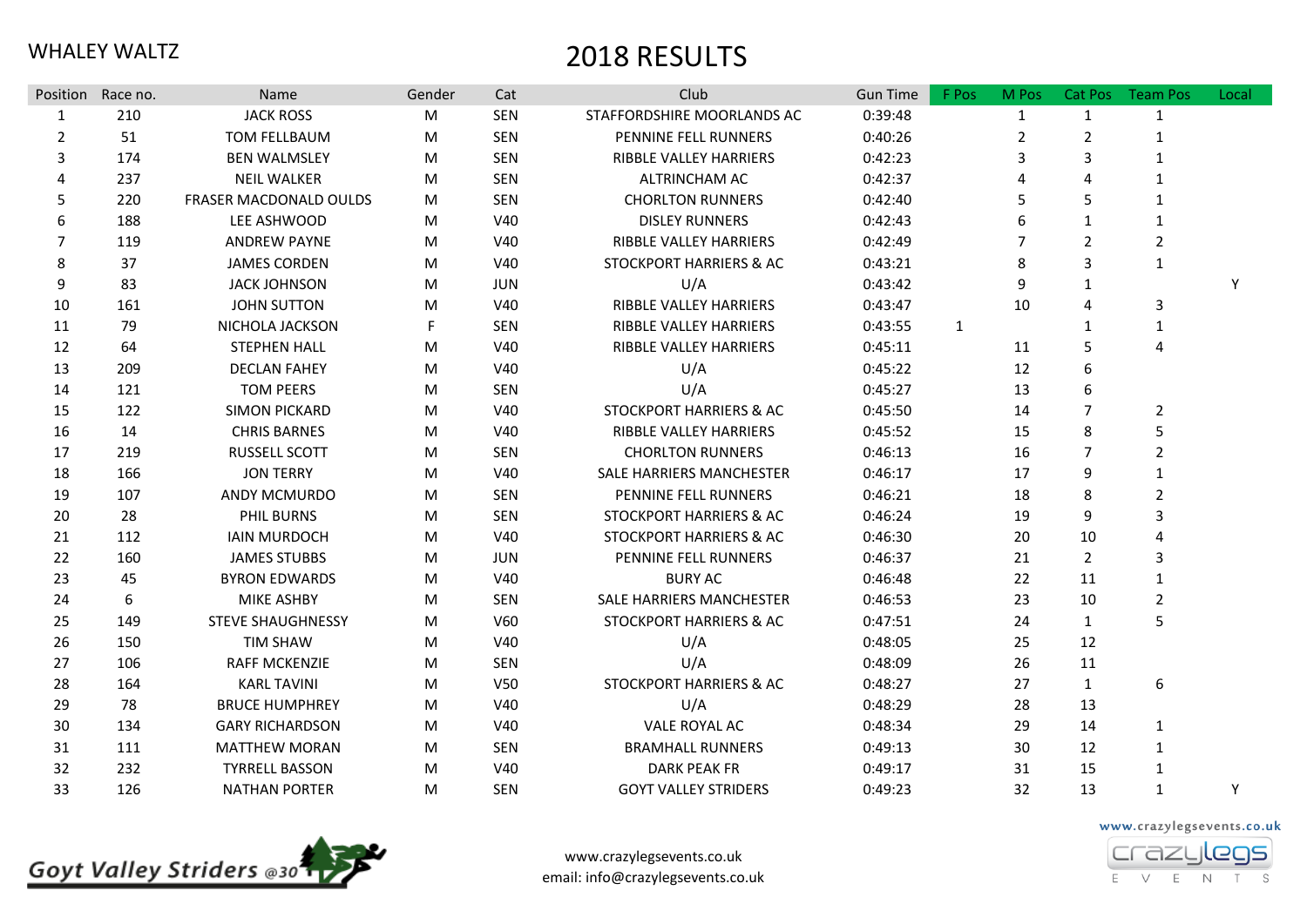|                | Position Race no. | Name                     | Gender | Cat        | Club                               | <b>Gun Time</b> | F Pos        | M Pos        | Cat Pos        | <b>Team Pos</b> | Local |
|----------------|-------------------|--------------------------|--------|------------|------------------------------------|-----------------|--------------|--------------|----------------|-----------------|-------|
| $\mathbf{1}$   | 210               | <b>JACK ROSS</b>         | M      | <b>SEN</b> | STAFFORDSHIRE MOORLANDS AC         | 0:39:48         |              | $\mathbf{1}$ | $\mathbf{1}$   | $\mathbf{1}$    |       |
| $\overline{2}$ | 51                | TOM FELLBAUM             | M      | <b>SEN</b> | PENNINE FELL RUNNERS               | 0:40:26         |              | 2            | $\overline{2}$ | $\mathbf{1}$    |       |
| 3              | 174               | <b>BEN WALMSLEY</b>      | M      | <b>SEN</b> | RIBBLE VALLEY HARRIERS             | 0:42:23         |              | 3            | 3              | $\mathbf{1}$    |       |
| 4              | 237               | <b>NEIL WALKER</b>       | M      | <b>SEN</b> | ALTRINCHAM AC                      | 0:42:37         |              | 4            | 4              | $\mathbf{1}$    |       |
| 5              | 220               | FRASER MACDONALD OULDS   | M      | <b>SEN</b> | <b>CHORLTON RUNNERS</b>            | 0:42:40         |              | 5            | 5              | $\mathbf{1}$    |       |
| 6              | 188               | LEE ASHWOOD              | M      | V40        | <b>DISLEY RUNNERS</b>              | 0:42:43         |              | 6            | $\mathbf{1}$   | $\mathbf{1}$    |       |
| $\overline{7}$ | 119               | <b>ANDREW PAYNE</b>      | M      | V40        | <b>RIBBLE VALLEY HARRIERS</b>      | 0:42:49         |              |              | $\overline{2}$ | $\overline{2}$  |       |
| 8              | 37                | <b>JAMES CORDEN</b>      | M      | V40        | STOCKPORT HARRIERS & AC            | 0:43:21         |              | 8            | 3              | $\mathbf{1}$    |       |
| 9              | 83                | <b>JACK JOHNSON</b>      | M      | <b>JUN</b> | U/A                                | 0:43:42         |              | 9            | $\mathbf{1}$   |                 | Y     |
| 10             | 161               | <b>JOHN SUTTON</b>       | M      | V40        | RIBBLE VALLEY HARRIERS             | 0:43:47         |              | 10           | 4              | 3               |       |
| 11             | 79                | NICHOLA JACKSON          | F      | <b>SEN</b> | RIBBLE VALLEY HARRIERS             | 0:43:55         | $\mathbf{1}$ |              | $\mathbf{1}$   | $\mathbf{1}$    |       |
| 12             | 64                | <b>STEPHEN HALL</b>      | M      | V40        | RIBBLE VALLEY HARRIERS             | 0:45:11         |              | 11           | 5              | 4               |       |
| 13             | 209               | <b>DECLAN FAHEY</b>      | M      | V40        | U/A                                | 0:45:22         |              | 12           | 6              |                 |       |
| 14             | 121               | <b>TOM PEERS</b>         | M      | <b>SEN</b> | U/A                                | 0:45:27         |              | 13           | 6              |                 |       |
| 15             | 122               | <b>SIMON PICKARD</b>     | M      | V40        | STOCKPORT HARRIERS & AC            | 0:45:50         |              | 14           | $\overline{7}$ | $\overline{2}$  |       |
| 16             | 14                | <b>CHRIS BARNES</b>      | M      | V40        | RIBBLE VALLEY HARRIERS             | 0:45:52         |              | 15           | 8              | 5               |       |
| 17             | 219               | <b>RUSSELL SCOTT</b>     | M      | <b>SEN</b> | <b>CHORLTON RUNNERS</b>            | 0:46:13         |              | 16           | 7              | $\overline{2}$  |       |
| 18             | 166               | <b>JON TERRY</b>         | M      | V40        | SALE HARRIERS MANCHESTER           | 0:46:17         |              | 17           | 9              | $\mathbf{1}$    |       |
| 19             | 107               | ANDY MCMURDO             | M      | <b>SEN</b> | PENNINE FELL RUNNERS               | 0:46:21         |              | 18           | 8              | $\overline{2}$  |       |
| 20             | 28                | PHIL BURNS               | M      | <b>SEN</b> | STOCKPORT HARRIERS & AC            | 0:46:24         |              | 19           | 9              | 3               |       |
| 21             | 112               | <b>IAIN MURDOCH</b>      | M      | V40        | <b>STOCKPORT HARRIERS &amp; AC</b> | 0:46:30         |              | 20           | 10             | 4               |       |
| 22             | 160               | <b>JAMES STUBBS</b>      | M      | <b>JUN</b> | PENNINE FELL RUNNERS               | 0:46:37         |              | 21           | $\overline{2}$ | 3               |       |
| 23             | 45                | <b>BYRON EDWARDS</b>     | M      | V40        | <b>BURY AC</b>                     | 0:46:48         |              | 22           | 11             | $\mathbf{1}$    |       |
| 24             | 6                 | MIKE ASHBY               | M      | <b>SEN</b> | SALE HARRIERS MANCHESTER           | 0:46:53         |              | 23           | 10             | $\overline{2}$  |       |
| 25             | 149               | <b>STEVE SHAUGHNESSY</b> | M      | V60        | STOCKPORT HARRIERS & AC            | 0:47:51         |              | 24           | $\mathbf{1}$   | 5               |       |
| 26             | 150               | <b>TIM SHAW</b>          | M      | V40        | U/A                                | 0:48:05         |              | 25           | 12             |                 |       |
| 27             | 106               | <b>RAFF MCKENZIE</b>     | M      | <b>SEN</b> | U/A                                | 0:48:09         |              | 26           | 11             |                 |       |
| 28             | 164               | <b>KARL TAVINI</b>       | M      | V50        | <b>STOCKPORT HARRIERS &amp; AC</b> | 0:48:27         |              | 27           | $\mathbf{1}$   | 6               |       |
| 29             | 78                | <b>BRUCE HUMPHREY</b>    | M      | V40        | U/A                                | 0:48:29         |              | 28           | 13             |                 |       |
| 30             | 134               | <b>GARY RICHARDSON</b>   | M      | V40        | VALE ROYAL AC                      | 0:48:34         |              | 29           | 14             | $\mathbf{1}$    |       |
| 31             | 111               | <b>MATTHEW MORAN</b>     | M      | <b>SEN</b> | <b>BRAMHALL RUNNERS</b>            | 0:49:13         |              | 30           | 12             | $\mathbf{1}$    |       |
| 32             | 232               | <b>TYRRELL BASSON</b>    | M      | V40        | <b>DARK PEAK FR</b>                | 0:49:17         |              | 31           | 15             | $\mathbf{1}$    |       |
| 33             | 126               | <b>NATHAN PORTER</b>     | M      | <b>SEN</b> | <b>GOYT VALLEY STRIDERS</b>        | 0:49:23         |              | 32           | 13             | $\mathbf{1}$    | Y     |



www.crazylegsevents.co.uk email: info@crazylegsevents.co.uk www.crazylegsevents.co.uk

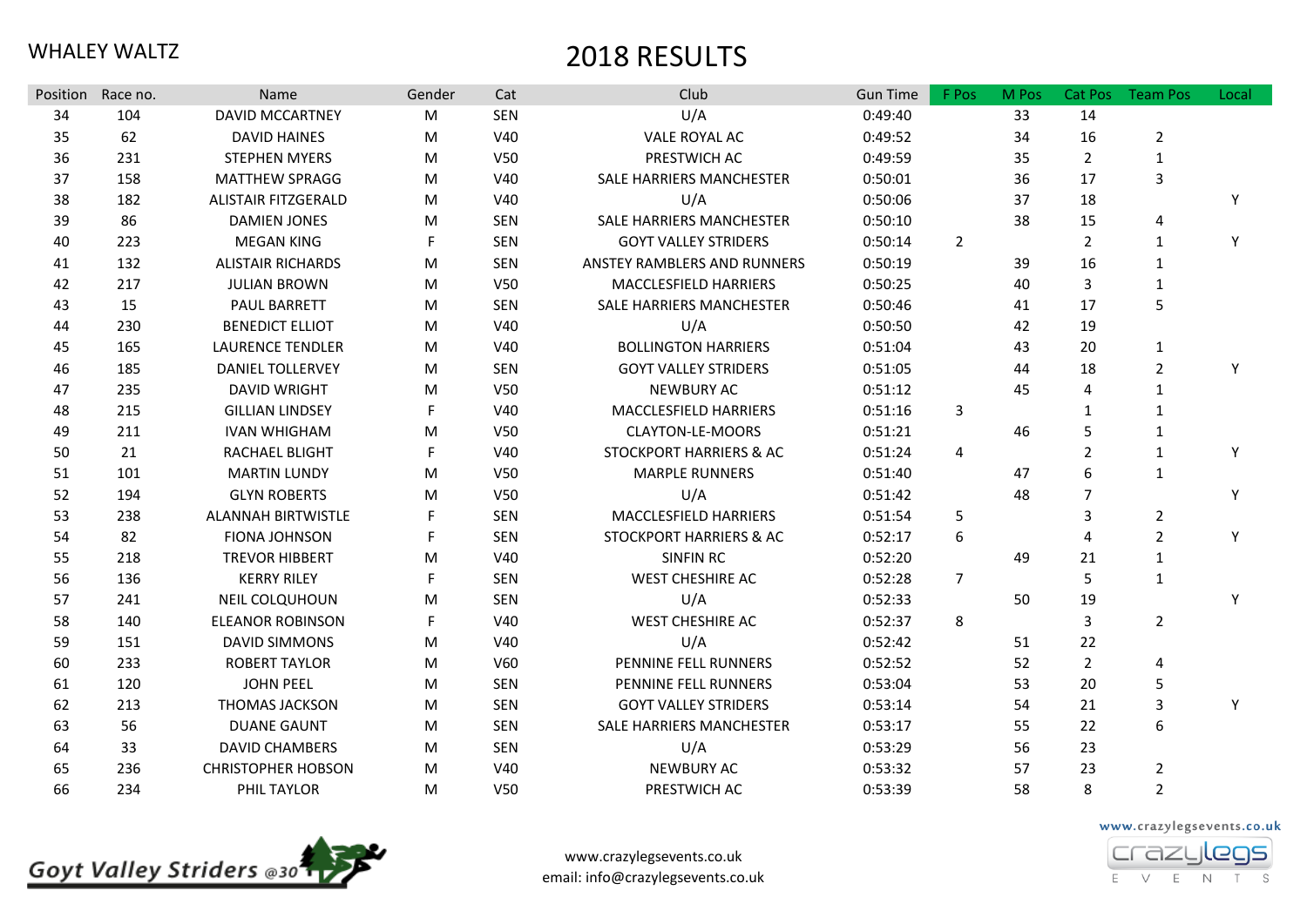| Position | Race no. | <b>Name</b>                | Gender | Cat             | Club                               | <b>Gun Time</b> | F Pos                   | M Pos | Cat Pos        | <b>Team Pos</b> | Local |
|----------|----------|----------------------------|--------|-----------------|------------------------------------|-----------------|-------------------------|-------|----------------|-----------------|-------|
| 34       | 104      | <b>DAVID MCCARTNEY</b>     | M      | <b>SEN</b>      | U/A                                | 0:49:40         |                         | 33    | 14             |                 |       |
| 35       | 62       | <b>DAVID HAINES</b>        | M      | V40             | VALE ROYAL AC                      | 0:49:52         |                         | 34    | 16             | $\overline{2}$  |       |
| 36       | 231      | <b>STEPHEN MYERS</b>       | M      | V50             | PRESTWICH AC                       | 0:49:59         |                         | 35    | $\overline{2}$ | $\mathbf 1$     |       |
| 37       | 158      | <b>MATTHEW SPRAGG</b>      | M      | V40             | SALE HARRIERS MANCHESTER           | 0:50:01         |                         | 36    | 17             | $\overline{3}$  |       |
| 38       | 182      | <b>ALISTAIR FITZGERALD</b> | M      | V40             | U/A                                | 0:50:06         |                         | 37    | 18             |                 | Y     |
| 39       | 86       | <b>DAMIEN JONES</b>        | M      | <b>SEN</b>      | SALE HARRIERS MANCHESTER           | 0:50:10         |                         | 38    | 15             | $\overline{4}$  |       |
| 40       | 223      | <b>MEGAN KING</b>          | F.     | <b>SEN</b>      | <b>GOYT VALLEY STRIDERS</b>        | 0:50:14         | $\overline{2}$          |       | $\overline{2}$ | 1               | Y     |
| 41       | 132      | <b>ALISTAIR RICHARDS</b>   | M      | <b>SEN</b>      | ANSTEY RAMBLERS AND RUNNERS        | 0:50:19         |                         | 39    | 16             | $\mathbf{1}$    |       |
| 42       | 217      | <b>JULIAN BROWN</b>        | M      | V50             | MACCLESFIELD HARRIERS              | 0:50:25         |                         | 40    | 3              | $\mathbf 1$     |       |
| 43       | 15       | PAUL BARRETT               | M      | <b>SEN</b>      | SALE HARRIERS MANCHESTER           | 0:50:46         |                         | 41    | 17             | 5               |       |
| 44       | 230      | <b>BENEDICT ELLIOT</b>     | M      | V40             | U/A                                | 0:50:50         |                         | 42    | 19             |                 |       |
| 45       | 165      | <b>LAURENCE TENDLER</b>    | M      | V40             | <b>BOLLINGTON HARRIERS</b>         | 0:51:04         |                         | 43    | 20             | $\mathbf{1}$    |       |
| 46       | 185      | <b>DANIEL TOLLERVEY</b>    | M      | <b>SEN</b>      | <b>GOYT VALLEY STRIDERS</b>        | 0:51:05         |                         | 44    | 18             | $\overline{2}$  | Y     |
| 47       | 235      | <b>DAVID WRIGHT</b>        | M      | V <sub>50</sub> | <b>NEWBURY AC</b>                  | 0:51:12         |                         | 45    | 4              | $\mathbf{1}$    |       |
| 48       | 215      | <b>GILLIAN LINDSEY</b>     | F      | V40             | MACCLESFIELD HARRIERS              | 0:51:16         | 3                       |       | 1              | $\mathbf{1}$    |       |
| 49       | 211      | <b>IVAN WHIGHAM</b>        | M      | V50             | CLAYTON-LE-MOORS                   | 0:51:21         |                         | 46    | 5              | $\mathbf{1}$    |       |
| 50       | 21       | RACHAEL BLIGHT             | F.     | V40             | STOCKPORT HARRIERS & AC            | 0:51:24         | $\overline{\mathbf{4}}$ |       | $\overline{2}$ | $\mathbf 1$     | Y     |
| 51       | 101      | <b>MARTIN LUNDY</b>        | M      | V50             | <b>MARPLE RUNNERS</b>              | 0:51:40         |                         | 47    | 6              | $\mathbf{1}$    |       |
| 52       | 194      | <b>GLYN ROBERTS</b>        | M      | V <sub>50</sub> | U/A                                | 0:51:42         |                         | 48    | $\overline{7}$ |                 | Y     |
| 53       | 238      | <b>ALANNAH BIRTWISTLE</b>  |        | <b>SEN</b>      | MACCLESFIELD HARRIERS              | 0:51:54         | 5                       |       | 3              | $\overline{2}$  |       |
| 54       | 82       | <b>FIONA JOHNSON</b>       | F      | <b>SEN</b>      | <b>STOCKPORT HARRIERS &amp; AC</b> | 0:52:17         | 6                       |       | 4              | $\overline{2}$  | Y     |
| 55       | 218      | <b>TREVOR HIBBERT</b>      | M      | V40             | <b>SINFIN RC</b>                   | 0:52:20         |                         | 49    | 21             | $\mathbf 1$     |       |
| 56       | 136      | <b>KERRY RILEY</b>         | F.     | <b>SEN</b>      | WEST CHESHIRE AC                   | 0:52:28         | $\overline{7}$          |       | 5              | $\mathbf{1}$    |       |
| 57       | 241      | NEIL COLQUHOUN             | М      | <b>SEN</b>      | U/A                                | 0:52:33         |                         | 50    | 19             |                 | Y     |
| 58       | 140      | <b>ELEANOR ROBINSON</b>    | F      | V40             | WEST CHESHIRE AC                   | 0:52:37         | 8                       |       | 3              | $\overline{2}$  |       |
| 59       | 151      | <b>DAVID SIMMONS</b>       | M      | V40             | U/A                                | 0:52:42         |                         | 51    | 22             |                 |       |
| 60       | 233      | <b>ROBERT TAYLOR</b>       | M      | V60             | PENNINE FELL RUNNERS               | 0:52:52         |                         | 52    | $\overline{2}$ | $\overline{4}$  |       |
| 61       | 120      | <b>JOHN PEEL</b>           | M      | <b>SEN</b>      | PENNINE FELL RUNNERS               | 0:53:04         |                         | 53    | 20             | 5               |       |
| 62       | 213      | THOMAS JACKSON             | M      | <b>SEN</b>      | <b>GOYT VALLEY STRIDERS</b>        | 0:53:14         |                         | 54    | 21             | 3               | Y     |
| 63       | 56       | <b>DUANE GAUNT</b>         | M      | <b>SEN</b>      | SALE HARRIERS MANCHESTER           | 0:53:17         |                         | 55    | 22             | 6               |       |
| 64       | 33       | <b>DAVID CHAMBERS</b>      | M      | <b>SEN</b>      | U/A                                | 0:53:29         |                         | 56    | 23             |                 |       |
| 65       | 236      | <b>CHRISTOPHER HOBSON</b>  | M      | V40             | <b>NEWBURY AC</b>                  | 0:53:32         |                         | 57    | 23             | $\overline{2}$  |       |
| 66       | 234      | PHIL TAYLOR                | M      | V50             | PRESTWICH AC                       | 0:53:39         |                         | 58    | 8              | $\overline{2}$  |       |





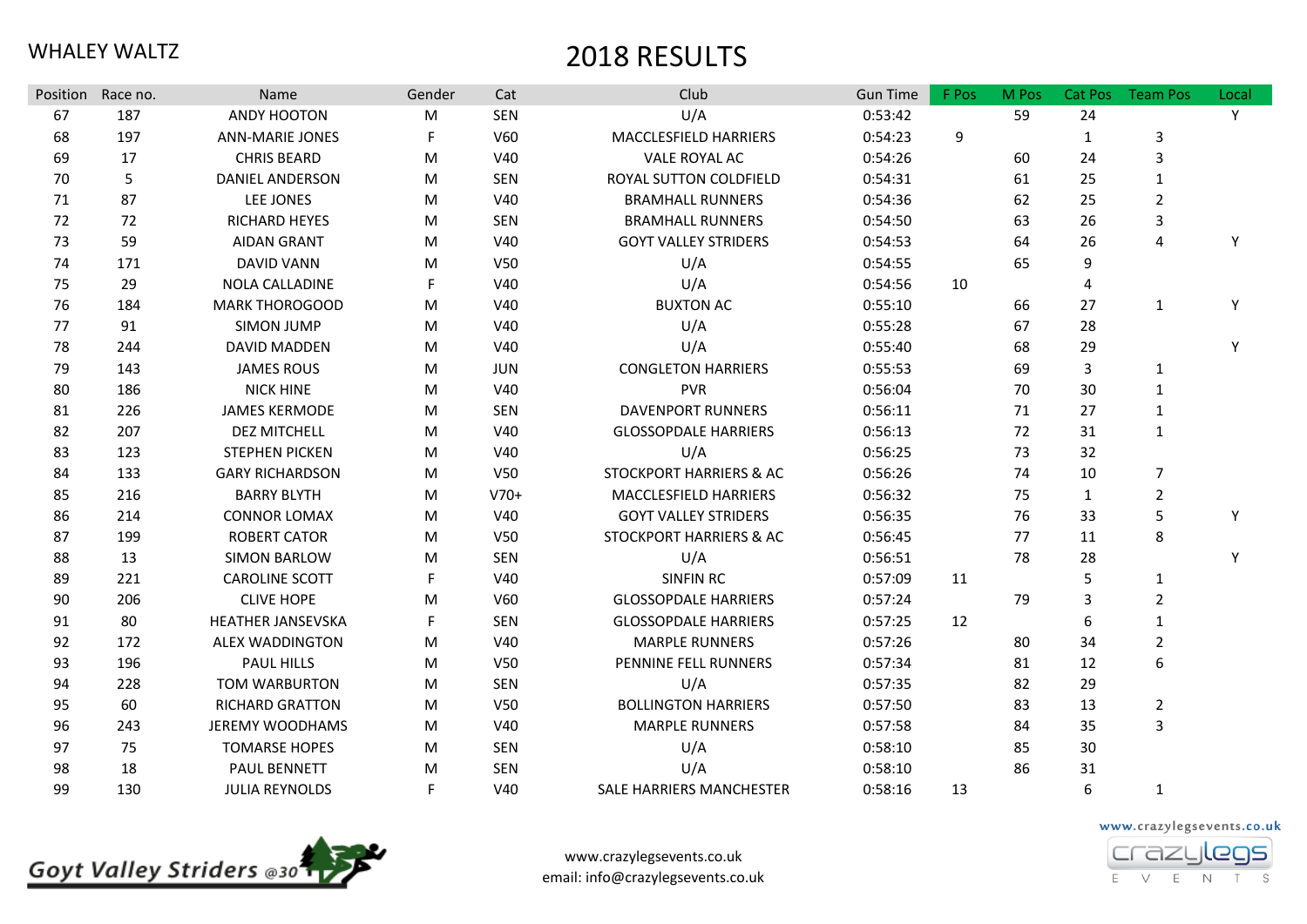| <b>Position</b> | Race no. | Name                     | Gender | Cat             | Club                               | <b>Gun Time</b> | F Pos | M Pos | Cat Pos      | <b>Team Pos</b> | Local |
|-----------------|----------|--------------------------|--------|-----------------|------------------------------------|-----------------|-------|-------|--------------|-----------------|-------|
| 67              | 187      | ANDY HOOTON              | M      | SEN             | U/A                                | 0:53:42         |       | 59    | 24           |                 | Y     |
| 68              | 197      | <b>ANN-MARIE JONES</b>   | F.     | V60             | MACCLESFIELD HARRIERS              | 0:54:23         | 9     |       | 1            | 3               |       |
| 69              | 17       | <b>CHRIS BEARD</b>       | M      | V40             | VALE ROYAL AC                      | 0:54:26         |       | 60    | 24           | 3               |       |
| 70              | 5        | <b>DANIEL ANDERSON</b>   | M      | SEN             | ROYAL SUTTON COLDFIELD             | 0:54:31         |       | 61    | 25           | $\mathbf{1}$    |       |
| 71              | 87       | LEE JONES                | M      | <b>V40</b>      | <b>BRAMHALL RUNNERS</b>            | 0:54:36         |       | 62    | 25           | $\overline{2}$  |       |
| 72              | 72       | RICHARD HEYES            | M      | SEN             | <b>BRAMHALL RUNNERS</b>            | 0:54:50         |       | 63    | 26           | 3               |       |
| 73              | 59       | <b>AIDAN GRANT</b>       | M      | V40             | <b>GOYT VALLEY STRIDERS</b>        | 0:54:53         |       | 64    | 26           | 4               | Y     |
| 74              | 171      | <b>DAVID VANN</b>        | M      | V <sub>50</sub> | U/A                                | 0:54:55         |       | 65    | 9            |                 |       |
| 75              | 29       | <b>NOLA CALLADINE</b>    | F.     | V40             | U/A                                | 0:54:56         | 10    |       | 4            |                 |       |
| 76              | 184      | <b>MARK THOROGOOD</b>    | M      | V40             | <b>BUXTON AC</b>                   | 0:55:10         |       | 66    | 27           | $\mathbf{1}$    | Y     |
| 77              | 91       | <b>SIMON JUMP</b>        | M      | V40             | U/A                                | 0:55:28         |       | 67    | 28           |                 |       |
| 78              | 244      | <b>DAVID MADDEN</b>      | M      | V40             | U/A                                | 0:55:40         |       | 68    | 29           |                 | Y     |
| 79              | 143      | <b>JAMES ROUS</b>        | M      | <b>JUN</b>      | <b>CONGLETON HARRIERS</b>          | 0:55:53         |       | 69    | 3            | 1               |       |
| 80              | 186      | <b>NICK HINE</b>         | M      | <b>V40</b>      | <b>PVR</b>                         | 0:56:04         |       | 70    | 30           | 1               |       |
| 81              | 226      | <b>JAMES KERMODE</b>     | M      | SEN             | DAVENPORT RUNNERS                  | 0:56:11         |       | 71    | 27           | 1               |       |
| 82              | 207      | <b>DEZ MITCHELL</b>      | M      | <b>V40</b>      | <b>GLOSSOPDALE HARRIERS</b>        | 0:56:13         |       | 72    | 31           | $\mathbf{1}$    |       |
| 83              | 123      | <b>STEPHEN PICKEN</b>    | M      | <b>V40</b>      | U/A                                | 0:56:25         |       | 73    | 32           |                 |       |
| 84              | 133      | <b>GARY RICHARDSON</b>   | M      | V50             | <b>STOCKPORT HARRIERS &amp; AC</b> | 0:56:26         |       | 74    | 10           | 7               |       |
| 85              | 216      | <b>BARRY BLYTH</b>       | M      | $V70+$          | MACCLESFIELD HARRIERS              | 0:56:32         |       | 75    | $\mathbf{1}$ | $\overline{2}$  |       |
| 86              | 214      | <b>CONNOR LOMAX</b>      | M      | V40             | <b>GOYT VALLEY STRIDERS</b>        | 0:56:35         |       | 76    | 33           | 5               | Y     |
| 87              | 199      | <b>ROBERT CATOR</b>      | M      | V <sub>50</sub> | STOCKPORT HARRIERS & AC            | 0:56:45         |       | 77    | 11           | 8               |       |
| 88              | 13       | SIMON BARLOW             | M      | SEN             | U/A                                | 0:56:51         |       | 78    | 28           |                 | Y     |
| 89              | 221      | <b>CAROLINE SCOTT</b>    | F.     | V40             | <b>SINFIN RC</b>                   | 0:57:09         | 11    |       | 5            | $\mathbf{1}$    |       |
| 90              | 206      | <b>CLIVE HOPE</b>        | M      | V60             | <b>GLOSSOPDALE HARRIERS</b>        | 0:57:24         |       | 79    | 3            | $\overline{2}$  |       |
| 91              | 80       | <b>HEATHER JANSEVSKA</b> | F.     | <b>SEN</b>      | <b>GLOSSOPDALE HARRIERS</b>        | 0:57:25         | 12    |       | 6            | 1               |       |
| 92              | 172      | <b>ALEX WADDINGTON</b>   | M      | <b>V40</b>      | <b>MARPLE RUNNERS</b>              | 0:57:26         |       | 80    | 34           | $\overline{2}$  |       |
| 93              | 196      | <b>PAUL HILLS</b>        | M      | <b>V50</b>      | PENNINE FELL RUNNERS               | 0:57:34         |       | 81    | 12           | 6               |       |
| 94              | 228      | TOM WARBURTON            | M      | SEN             | U/A                                | 0:57:35         |       | 82    | 29           |                 |       |
| 95              | 60       | <b>RICHARD GRATTON</b>   | M      | <b>V50</b>      | <b>BOLLINGTON HARRIERS</b>         | 0:57:50         |       | 83    | 13           | $\overline{2}$  |       |
| 96              | 243      | <b>JEREMY WOODHAMS</b>   | M      | V40             | <b>MARPLE RUNNERS</b>              | 0:57:58         |       | 84    | 35           | 3               |       |
| 97              | 75       | <b>TOMARSE HOPES</b>     | M      | SEN             | U/A                                | 0:58:10         |       | 85    | 30           |                 |       |
| 98              | 18       | PAUL BENNETT             | M      | <b>SEN</b>      | U/A                                | 0:58:10         |       | 86    | 31           |                 |       |
| 99              | 130      | <b>JULIA REYNOLDS</b>    | F.     | <b>V40</b>      | SALE HARRIERS MANCHESTER           | 0:58:16         | 13    |       | 6            | 1               |       |





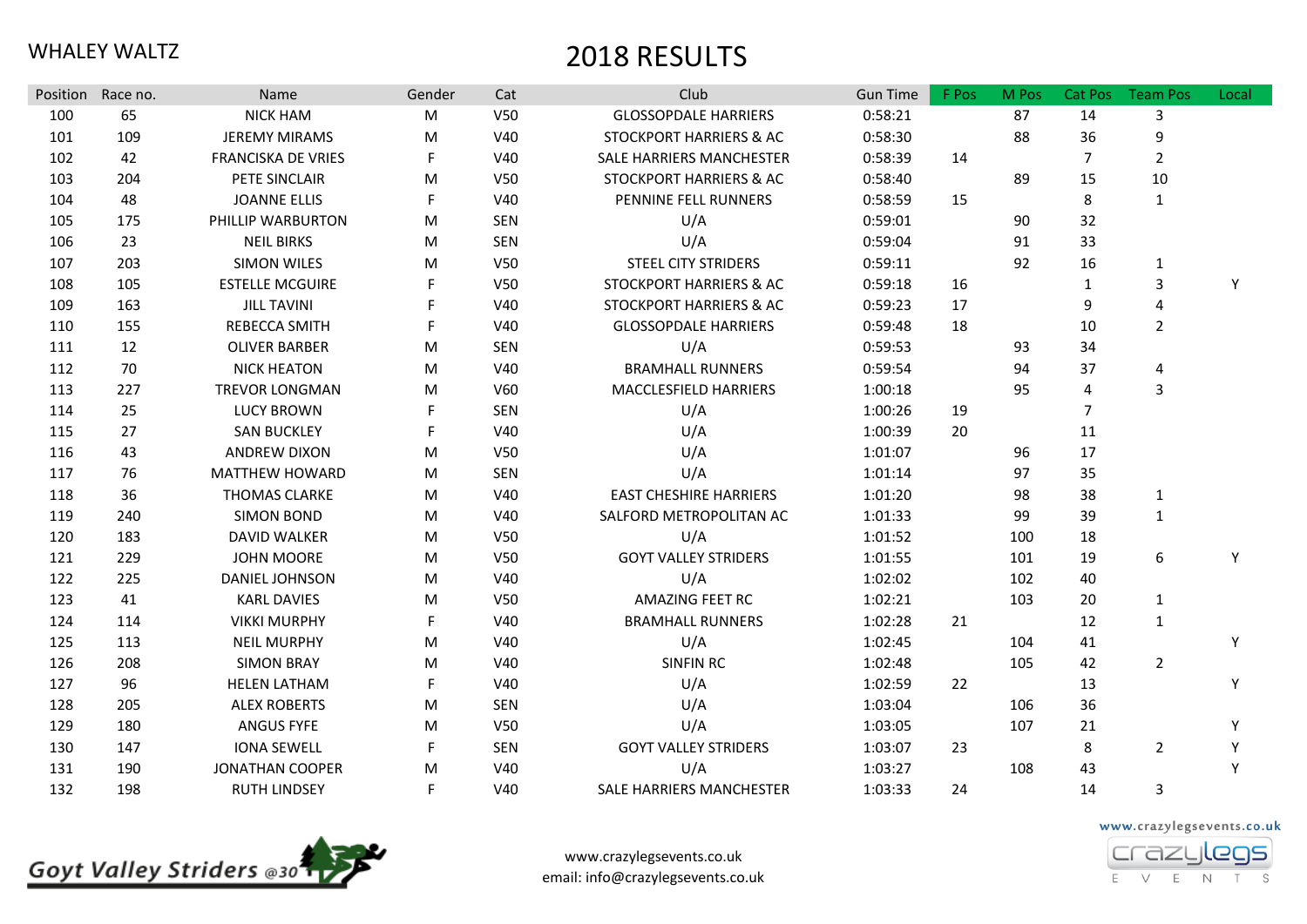| Position | Race no. | Name                      | Gender                                                                                | Cat             | Club                          | <b>Gun Time</b> | F Pos | M Pos | Cat Pos        | <b>Team Pos</b> | Local |
|----------|----------|---------------------------|---------------------------------------------------------------------------------------|-----------------|-------------------------------|-----------------|-------|-------|----------------|-----------------|-------|
| 100      | 65       | <b>NICK HAM</b>           | M                                                                                     | V <sub>50</sub> | <b>GLOSSOPDALE HARRIERS</b>   | 0:58:21         |       | 87    | 14             | 3               |       |
| 101      | 109      | <b>JEREMY MIRAMS</b>      | M                                                                                     | V40             | STOCKPORT HARRIERS & AC       | 0:58:30         |       | 88    | 36             | 9               |       |
| 102      | 42       | <b>FRANCISKA DE VRIES</b> | F                                                                                     | V40             | SALE HARRIERS MANCHESTER      | 0:58:39         | 14    |       | $\overline{7}$ | $\overline{2}$  |       |
| 103      | 204      | PETE SINCLAIR             | M                                                                                     | V <sub>50</sub> | STOCKPORT HARRIERS & AC       | 0:58:40         |       | 89    | 15             | 10              |       |
| 104      | 48       | <b>JOANNE ELLIS</b>       | F                                                                                     | V40             | PENNINE FELL RUNNERS          | 0:58:59         | 15    |       | 8              | $\mathbf{1}$    |       |
| 105      | 175      | PHILLIP WARBURTON         | M                                                                                     | <b>SEN</b>      | U/A                           | 0:59:01         |       | 90    | 32             |                 |       |
| 106      | 23       | <b>NEIL BIRKS</b>         | M                                                                                     | <b>SEN</b>      | U/A                           | 0:59:04         |       | 91    | 33             |                 |       |
| 107      | 203      | <b>SIMON WILES</b>        | $\mathsf{M}% _{T}=\mathsf{M}_{T}\!\left( a,b\right) ,\ \mathsf{M}_{T}=\mathsf{M}_{T}$ | V50             | <b>STEEL CITY STRIDERS</b>    | 0:59:11         |       | 92    | 16             | $\mathbf{1}$    |       |
| 108      | 105      | <b>ESTELLE MCGUIRE</b>    |                                                                                       | V50             | STOCKPORT HARRIERS & AC       | 0:59:18         | 16    |       | 1              | 3               | Y     |
| 109      | 163      | <b>JILL TAVINI</b>        |                                                                                       | V40             | STOCKPORT HARRIERS & AC       | 0:59:23         | 17    |       | 9              | $\overline{a}$  |       |
| 110      | 155      | REBECCA SMITH             | F                                                                                     | V40             | <b>GLOSSOPDALE HARRIERS</b>   | 0:59:48         | 18    |       | 10             | $\overline{2}$  |       |
| 111      | 12       | <b>OLIVER BARBER</b>      | M                                                                                     | <b>SEN</b>      | U/A                           | 0:59:53         |       | 93    | 34             |                 |       |
| 112      | 70       | <b>NICK HEATON</b>        | M                                                                                     | V40             | <b>BRAMHALL RUNNERS</b>       | 0:59:54         |       | 94    | 37             | 4               |       |
| 113      | 227      | <b>TREVOR LONGMAN</b>     | M                                                                                     | V60             | MACCLESFIELD HARRIERS         | 1:00:18         |       | 95    | 4              | $\mathsf 3$     |       |
| 114      | 25       | <b>LUCY BROWN</b>         | F                                                                                     | <b>SEN</b>      | U/A                           | 1:00:26         | 19    |       | $\overline{7}$ |                 |       |
| 115      | 27       | <b>SAN BUCKLEY</b>        | F                                                                                     | V40             | U/A                           | 1:00:39         | 20    |       | 11             |                 |       |
| 116      | 43       | <b>ANDREW DIXON</b>       | M                                                                                     | V50             | U/A                           | 1:01:07         |       | 96    | 17             |                 |       |
| 117      | 76       | MATTHEW HOWARD            | M                                                                                     | <b>SEN</b>      | U/A                           | 1:01:14         |       | 97    | 35             |                 |       |
| 118      | 36       | <b>THOMAS CLARKE</b>      | M                                                                                     | V40             | <b>EAST CHESHIRE HARRIERS</b> | 1:01:20         |       | 98    | 38             | $\mathbf{1}$    |       |
| 119      | 240      | <b>SIMON BOND</b>         | M                                                                                     | <b>V40</b>      | SALFORD METROPOLITAN AC       | 1:01:33         |       | 99    | 39             | $\mathbf{1}$    |       |
| 120      | 183      | DAVID WALKER              | M                                                                                     | V <sub>50</sub> | U/A                           | 1:01:52         |       | 100   | 18             |                 |       |
| 121      | 229      | <b>JOHN MOORE</b>         | M                                                                                     | V50             | <b>GOYT VALLEY STRIDERS</b>   | 1:01:55         |       | 101   | 19             | 6               | Y     |
| 122      | 225      | DANIEL JOHNSON            | M                                                                                     | V40             | U/A                           | 1:02:02         |       | 102   | 40             |                 |       |
| 123      | 41       | <b>KARL DAVIES</b>        | M                                                                                     | V <sub>50</sub> | AMAZING FEET RC               | 1:02:21         |       | 103   | 20             | $\mathbf{1}$    |       |
| 124      | 114      | <b>VIKKI MURPHY</b>       | F                                                                                     | V40             | <b>BRAMHALL RUNNERS</b>       | 1:02:28         | 21    |       | 12             | $\mathbf{1}$    |       |
| 125      | 113      | <b>NEIL MURPHY</b>        | M                                                                                     | V40             | U/A                           | 1:02:45         |       | 104   | 41             |                 | Y     |
| 126      | 208      | <b>SIMON BRAY</b>         | M                                                                                     | V40             | <b>SINFIN RC</b>              | 1:02:48         |       | 105   | 42             | $\overline{2}$  |       |
| 127      | 96       | <b>HELEN LATHAM</b>       | F                                                                                     | V40             | U/A                           | 1:02:59         | 22    |       | 13             |                 | Y     |
| 128      | 205      | <b>ALEX ROBERTS</b>       | M                                                                                     | <b>SEN</b>      | U/A                           | 1:03:04         |       | 106   | 36             |                 |       |
| 129      | 180      | <b>ANGUS FYFE</b>         | M                                                                                     | V50             | U/A                           | 1:03:05         |       | 107   | 21             |                 | Y     |
| 130      | 147      | <b>IONA SEWELL</b>        | F                                                                                     | <b>SEN</b>      | <b>GOYT VALLEY STRIDERS</b>   | 1:03:07         | 23    |       | 8              | $\overline{2}$  | Y     |
| 131      | 190      | <b>JONATHAN COOPER</b>    | M                                                                                     | V40             | U/A                           | 1:03:27         |       | 108   | 43             |                 | Y     |
| 132      | 198      | <b>RUTH LINDSEY</b>       | F                                                                                     | V40             | SALE HARRIERS MANCHESTER      | 1:03:33         | 24    |       | 14             | 3               |       |



www.crazylegsevents.co.uk email: info@crazylegsevents.co.uk www.crazylegsevents.co.uk

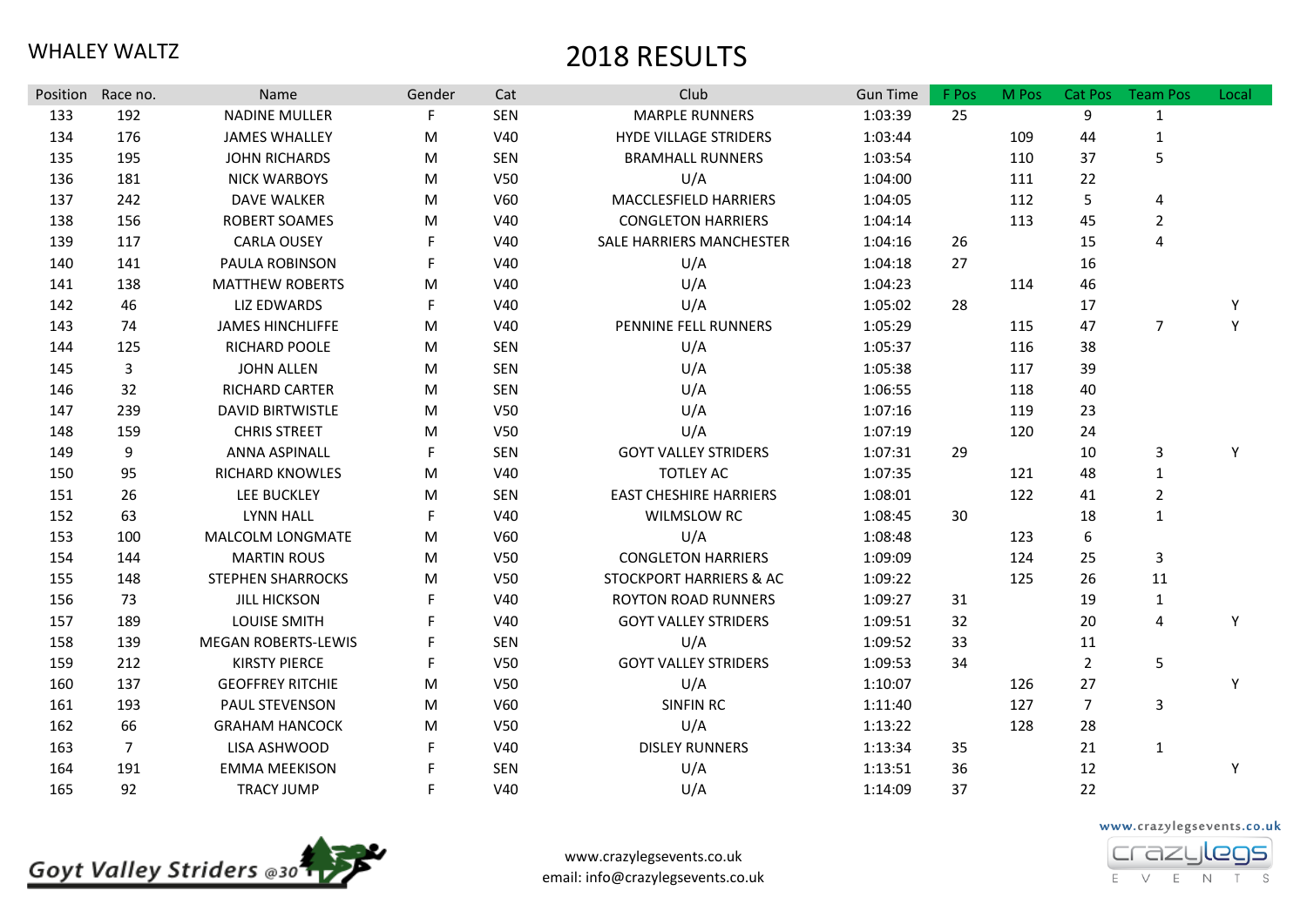| Position | Race no.       | Name                       | Gender | Cat             | Club                               | <b>Gun Time</b> | F Pos | M Pos | Cat Pos        | <b>Team Pos</b> | Local |
|----------|----------------|----------------------------|--------|-----------------|------------------------------------|-----------------|-------|-------|----------------|-----------------|-------|
| 133      | 192            | <b>NADINE MULLER</b>       | F      | <b>SEN</b>      | <b>MARPLE RUNNERS</b>              | 1:03:39         | 25    |       | 9              | $\mathbf{1}$    |       |
| 134      | 176            | <b>JAMES WHALLEY</b>       | M      | V40             | <b>HYDE VILLAGE STRIDERS</b>       | 1:03:44         |       | 109   | 44             | $\mathbf{1}$    |       |
| 135      | 195            | <b>JOHN RICHARDS</b>       | M      | <b>SEN</b>      | <b>BRAMHALL RUNNERS</b>            | 1:03:54         |       | 110   | 37             | 5               |       |
| 136      | 181            | <b>NICK WARBOYS</b>        | M      | V50             | U/A                                | 1:04:00         |       | 111   | 22             |                 |       |
| 137      | 242            | <b>DAVE WALKER</b>         | M      | V60             | MACCLESFIELD HARRIERS              | 1:04:05         |       | 112   | 5              | 4               |       |
| 138      | 156            | ROBERT SOAMES              | M      | V40             | <b>CONGLETON HARRIERS</b>          | 1:04:14         |       | 113   | 45             | $\overline{2}$  |       |
| 139      | 117            | <b>CARLA OUSEY</b>         | F      | <b>V40</b>      | SALE HARRIERS MANCHESTER           | 1:04:16         | 26    |       | 15             | $\overline{4}$  |       |
| 140      | 141            | PAULA ROBINSON             | F      | V40             | U/A                                | 1:04:18         | 27    |       | 16             |                 |       |
| 141      | 138            | <b>MATTHEW ROBERTS</b>     | M      | V40             | U/A                                | 1:04:23         |       | 114   | 46             |                 |       |
| 142      | 46             | <b>LIZ EDWARDS</b>         | F      | V40             | U/A                                | 1:05:02         | 28    |       | 17             |                 | Y     |
| 143      | 74             | <b>JAMES HINCHLIFFE</b>    | M      | V40             | PENNINE FELL RUNNERS               | 1:05:29         |       | 115   | 47             | $\overline{7}$  | Y     |
| 144      | 125            | RICHARD POOLE              | M      | <b>SEN</b>      | U/A                                | 1:05:37         |       | 116   | 38             |                 |       |
| 145      | $\overline{3}$ | <b>JOHN ALLEN</b>          | M      | <b>SEN</b>      | U/A                                | 1:05:38         |       | 117   | 39             |                 |       |
| 146      | 32             | <b>RICHARD CARTER</b>      | M      | <b>SEN</b>      | U/A                                | 1:06:55         |       | 118   | 40             |                 |       |
| 147      | 239            | <b>DAVID BIRTWISTLE</b>    | M      | V <sub>50</sub> | U/A                                | 1:07:16         |       | 119   | 23             |                 |       |
| 148      | 159            | <b>CHRIS STREET</b>        | M      | V <sub>50</sub> | U/A                                | 1:07:19         |       | 120   | 24             |                 |       |
| 149      | 9              | <b>ANNA ASPINALL</b>       | F      | <b>SEN</b>      | <b>GOYT VALLEY STRIDERS</b>        | 1:07:31         | 29    |       | 10             | 3               | Y     |
| 150      | 95             | <b>RICHARD KNOWLES</b>     | M      | V40             | <b>TOTLEY AC</b>                   | 1:07:35         |       | 121   | 48             | $\mathbf{1}$    |       |
| 151      | 26             | <b>LEE BUCKLEY</b>         | M      | <b>SEN</b>      | <b>EAST CHESHIRE HARRIERS</b>      | 1:08:01         |       | 122   | 41             | $\overline{2}$  |       |
| 152      | 63             | <b>LYNN HALL</b>           | F.     | V40             | WILMSLOW RC                        | 1:08:45         | 30    |       | 18             | $\mathbf{1}$    |       |
| 153      | 100            | MALCOLM LONGMATE           | M      | V60             | U/A                                | 1:08:48         |       | 123   | 6              |                 |       |
| 154      | 144            | <b>MARTIN ROUS</b>         | M      | V <sub>50</sub> | <b>CONGLETON HARRIERS</b>          | 1:09:09         |       | 124   | 25             | $\mathsf{3}$    |       |
| 155      | 148            | <b>STEPHEN SHARROCKS</b>   | M      | V <sub>50</sub> | <b>STOCKPORT HARRIERS &amp; AC</b> | 1:09:22         |       | 125   | 26             | 11              |       |
| 156      | 73             | <b>JILL HICKSON</b>        | F      | V40             | <b>ROYTON ROAD RUNNERS</b>         | 1:09:27         | 31    |       | 19             | $\mathbf{1}$    |       |
| 157      | 189            | LOUISE SMITH               | F      | V40             | <b>GOYT VALLEY STRIDERS</b>        | 1:09:51         | 32    |       | 20             | 4               | Y     |
| 158      | 139            | <b>MEGAN ROBERTS-LEWIS</b> | F      | <b>SEN</b>      | U/A                                | 1:09:52         | 33    |       | 11             |                 |       |
| 159      | 212            | <b>KIRSTY PIERCE</b>       | F      | V <sub>50</sub> | <b>GOYT VALLEY STRIDERS</b>        | 1:09:53         | 34    |       | $\overline{2}$ | 5               |       |
| 160      | 137            | <b>GEOFFREY RITCHIE</b>    | M      | V <sub>50</sub> | U/A                                | 1:10:07         |       | 126   | 27             |                 | Y     |
| 161      | 193            | <b>PAUL STEVENSON</b>      | M      | <b>V60</b>      | <b>SINFIN RC</b>                   | 1:11:40         |       | 127   | $\overline{7}$ | 3               |       |
| 162      | 66             | <b>GRAHAM HANCOCK</b>      | M      | V50             | U/A                                | 1:13:22         |       | 128   | 28             |                 |       |
| 163      | $\overline{7}$ | LISA ASHWOOD               | F      | V40             | <b>DISLEY RUNNERS</b>              | 1:13:34         | 35    |       | 21             | $\mathbf{1}$    |       |
| 164      | 191            | <b>EMMA MEEKISON</b>       | F      | <b>SEN</b>      | U/A                                | 1:13:51         | 36    |       | 12             |                 | Y     |
| 165      | 92             | <b>TRACY JUMP</b>          | F      | V40             | U/A                                | 1:14:09         | 37    |       | 22             |                 |       |





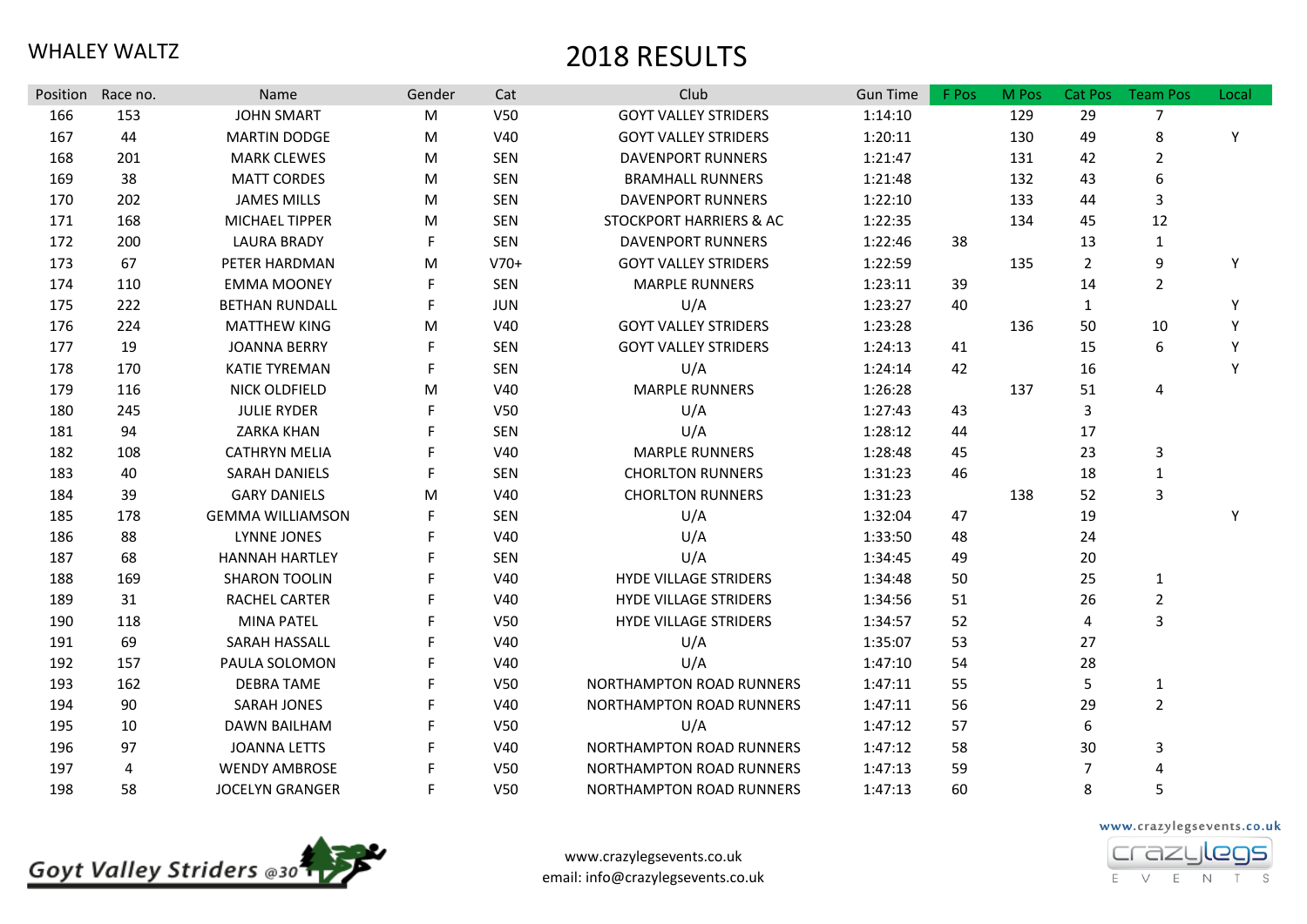| Position | Race no. | Name                    | Gender | Cat             | Club                               | <b>Gun Time</b> | F Pos | M Pos | Cat Pos        | <b>Team Pos</b> | Local |
|----------|----------|-------------------------|--------|-----------------|------------------------------------|-----------------|-------|-------|----------------|-----------------|-------|
| 166      | 153      | <b>JOHN SMART</b>       | M      | V50             | <b>GOYT VALLEY STRIDERS</b>        | 1:14:10         |       | 129   | 29             | $\overline{7}$  |       |
| 167      | 44       | <b>MARTIN DODGE</b>     | M      | V40             | <b>GOYT VALLEY STRIDERS</b>        | 1:20:11         |       | 130   | 49             | 8               | Y     |
| 168      | 201      | <b>MARK CLEWES</b>      | M      | <b>SEN</b>      | <b>DAVENPORT RUNNERS</b>           | 1:21:47         |       | 131   | 42             | $\overline{2}$  |       |
| 169      | 38       | <b>MATT CORDES</b>      | M      | <b>SEN</b>      | <b>BRAMHALL RUNNERS</b>            | 1:21:48         |       | 132   | 43             | 6               |       |
| 170      | 202      | <b>JAMES MILLS</b>      | M      | <b>SEN</b>      | <b>DAVENPORT RUNNERS</b>           | 1:22:10         |       | 133   | 44             | 3               |       |
| 171      | 168      | MICHAEL TIPPER          | M      | <b>SEN</b>      | <b>STOCKPORT HARRIERS &amp; AC</b> | 1:22:35         |       | 134   | 45             | 12              |       |
| 172      | 200      | <b>LAURA BRADY</b>      | F      | <b>SEN</b>      | <b>DAVENPORT RUNNERS</b>           | 1:22:46         | 38    |       | 13             | $\mathbf{1}$    |       |
| 173      | 67       | PETER HARDMAN           | M      | $V70+$          | <b>GOYT VALLEY STRIDERS</b>        | 1:22:59         |       | 135   | $\overline{2}$ | 9               | Y     |
| 174      | 110      | <b>EMMA MOONEY</b>      | F      | <b>SEN</b>      | <b>MARPLE RUNNERS</b>              | 1:23:11         | 39    |       | 14             | $\overline{2}$  |       |
| 175      | 222      | <b>BETHAN RUNDALL</b>   | F      | <b>JUN</b>      | U/A                                | 1:23:27         | 40    |       | $\mathbf{1}$   |                 | Y     |
| 176      | 224      | <b>MATTHEW KING</b>     | M      | V40             | <b>GOYT VALLEY STRIDERS</b>        | 1:23:28         |       | 136   | 50             | 10              | Y     |
| 177      | 19       | <b>JOANNA BERRY</b>     | F.     | <b>SEN</b>      | <b>GOYT VALLEY STRIDERS</b>        | 1:24:13         | 41    |       | 15             | 6               | Y     |
| 178      | 170      | <b>KATIE TYREMAN</b>    | F      | <b>SEN</b>      | U/A                                | 1:24:14         | 42    |       | 16             |                 | Y     |
| 179      | 116      | NICK OLDFIELD           | M      | V40             | MARPLE RUNNERS                     | 1:26:28         |       | 137   | 51             | 4               |       |
| 180      | 245      | <b>JULIE RYDER</b>      | F.     | V50             | U/A                                | 1:27:43         | 43    |       | 3              |                 |       |
| 181      | 94       | <b>ZARKA KHAN</b>       | F.     | <b>SEN</b>      | U/A                                | 1:28:12         | 44    |       | 17             |                 |       |
| 182      | 108      | <b>CATHRYN MELIA</b>    | F      | V40             | <b>MARPLE RUNNERS</b>              | 1:28:48         | 45    |       | 23             | 3               |       |
| 183      | 40       | <b>SARAH DANIELS</b>    | F      | <b>SEN</b>      | <b>CHORLTON RUNNERS</b>            | 1:31:23         | 46    |       | 18             | $\mathbf{1}$    |       |
| 184      | 39       | <b>GARY DANIELS</b>     | M      | V40             | <b>CHORLTON RUNNERS</b>            | 1:31:23         |       | 138   | 52             | 3               |       |
| 185      | 178      | <b>GEMMA WILLIAMSON</b> |        | <b>SEN</b>      | U/A                                | 1:32:04         | 47    |       | 19             |                 | Y     |
| 186      | 88       | <b>LYNNE JONES</b>      | F      | V40             | U/A                                | 1:33:50         | 48    |       | 24             |                 |       |
| 187      | 68       | <b>HANNAH HARTLEY</b>   |        | <b>SEN</b>      | U/A                                | 1:34:45         | 49    |       | 20             |                 |       |
| 188      | 169      | <b>SHARON TOOLIN</b>    | F      | V40             | <b>HYDE VILLAGE STRIDERS</b>       | 1:34:48         | 50    |       | 25             | $\mathbf{1}$    |       |
| 189      | 31       | RACHEL CARTER           |        | V40             | <b>HYDE VILLAGE STRIDERS</b>       | 1:34:56         | 51    |       | 26             | $\overline{2}$  |       |
| 190      | 118      | <b>MINA PATEL</b>       |        | V50             | <b>HYDE VILLAGE STRIDERS</b>       | 1:34:57         | 52    |       | 4              | 3               |       |
| 191      | 69       | SARAH HASSALL           |        | V40             | U/A                                | 1:35:07         | 53    |       | 27             |                 |       |
| 192      | 157      | PAULA SOLOMON           |        | V40             | U/A                                | 1:47:10         | 54    |       | 28             |                 |       |
| 193      | 162      | <b>DEBRA TAME</b>       | F      | V50             | NORTHAMPTON ROAD RUNNERS           | 1:47:11         | 55    |       | 5              | $\mathbf{1}$    |       |
| 194      | 90       | <b>SARAH JONES</b>      | F      | V40             | NORTHAMPTON ROAD RUNNERS           | 1:47:11         | 56    |       | 29             | $\overline{2}$  |       |
| 195      | 10       | <b>DAWN BAILHAM</b>     |        | V50             | U/A                                | 1:47:12         | 57    |       | 6              |                 |       |
| 196      | 97       | <b>JOANNA LETTS</b>     |        | V40             | NORTHAMPTON ROAD RUNNERS           | 1:47:12         | 58    |       | 30             | 3               |       |
| 197      | 4        | <b>WENDY AMBROSE</b>    |        | V <sub>50</sub> | <b>NORTHAMPTON ROAD RUNNERS</b>    | 1:47:13         | 59    |       | 7              | 4               |       |
| 198      | 58       | <b>JOCELYN GRANGER</b>  | F.     | V <sub>50</sub> | <b>NORTHAMPTON ROAD RUNNERS</b>    | 1:47:13         | 60    |       | 8              | 5               |       |



www.crazylegsevents.co.uk email: info@crazylegsevents.co.uk www.crazylegsevents.co.uk